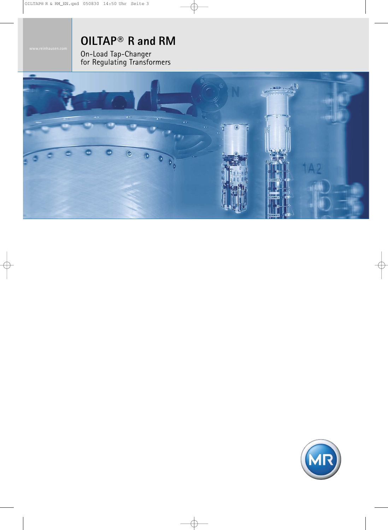# **OILTAP® R and RM**

On-Load Tap-Changer for Regulating Transformers



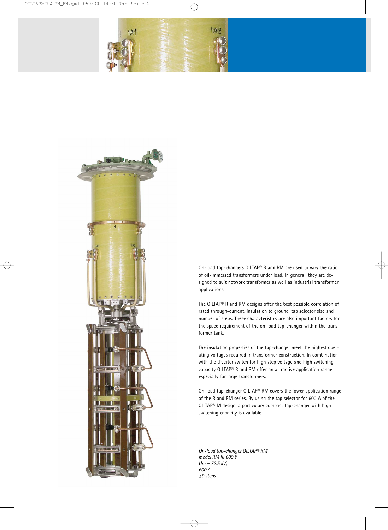



On-load tap-changers OILTAP® R and RM are used to vary the ratio of oil-immersed transformers under load. In general, they are designed to suit network transformer as well as industrial transformer applications.

The OILTAP® R and RM designs offer the best possible correlation of rated through-current, insulation to ground, tap selector size and number of steps. These characteristics are also important factors for the space requirement of the on-load tap-changer within the transformer tank.

The insulation properties of the tap-changer meet the highest operating voltages required in transformer construction. In combination with the diverter switch for high step voltage and high switching capacity OILTAP® R and RM offer an attractive application range especially for large transformers.

On-load tap-changer OILTAP® RM covers the lower application range of the R and RM series. By using the tap selector for 600 A of the OILTAP® M design, a particulary compact tap-changer with high switching capacity is available.

*On-load tap-changer OILTAP® RM model RM III 600 Y, Um = 72.5 kV, 600 A, ±9 steps*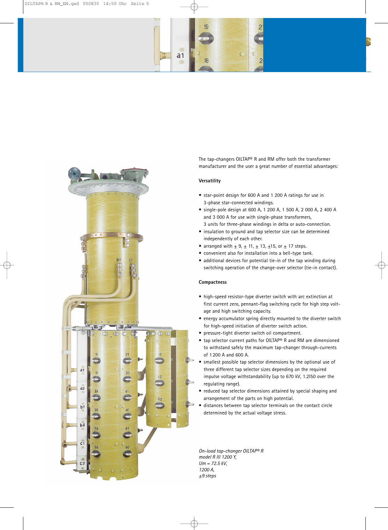



The tap-changers OILTAP® R and RM offer both the transformer manufacturer and the user a great number of essential advantages:

## **Versatility**

- star-point design for 600 A and 1 200 A ratings for use in 3-phase star-connected windings.
- single-pole design at 600 A, 1 200 A, 1 500 A, 2 000 A, 2 400 A and 3 000 A for use with single-phase transformers, 3 units for three-phase windings in delta or auto-connection.
- insulation to ground and tap selector size can be determined independently of each other.
- arranged with  $\pm$  9,  $\pm$  11,  $\pm$  13,  $\pm$ 15, or  $\pm$  17 steps.
- convenient also for installation into a bell-type tank.
- additional devices for potential tie-in of the tap winding during switching operation of the change-over selector (tie-in contact).

#### **Compactness**

- high-speed resistor-type diverter switch with arc extinction at first current zero, pennant-flag switching cycle for high step voltage and high switching capacity.
- energy accumulator spring directly mounted to the diverter switch for high-speed initiation of diverter switch action.
- pressure-tight diverter switch oil compartment.
- tap selector current paths for OILTAP® R and RM are dimensioned to withstand safely the maximum tap-changer through-currents of 1200 A and 600 A.
- smallest possible tap selector dimensions by the optional use of three different tap selector sizes depending on the required impulse voltage withstandability (up to 670 kV, 1.2I50 over the regulating range).
- reduced tap selector dimensions attained by special shaping and arrangement of the parts on high potential.
- distances between tap selector terminals on the contact circle determined by the actual voltage stress.

*On-load tap-changer OILTAP® R model R III 1200 Y, Um = 72.5 kV, 1200 A, ±9 steps*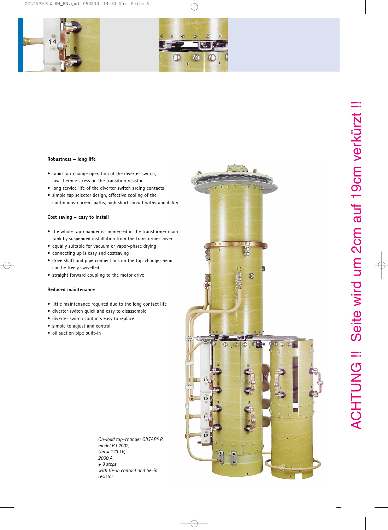



# **Robustness – long life**

- rapid tap-change operation of the diverter switch, low thermic stress on the transition resistor
- long service life of the diverter switch arcing contacts
- simple tap selector design, effective cooling of the continuous-current paths, high short-circuit withstandability

# **Cost saving – easy to install**

- the whole tap-changer ist immersed in the transformer main tank by suspended installation from the transformer cover
- equally suitable for vacuum or vapor-phase drying
- connecting up is easy and costsaving
- drive shaft and pipe connections on the tap-changer head can be freely swivelled
- straight forward coupling to the motor drive

## **Reduced maintenance**

- little maintenance required due to the long contact life
- diverter switch quick and easy to disassemble
- diverter switch contacts easy to replace
- simple to adjust and control
- oil suction pipe built-in

*On-load tap-changer OILTAP® R model R I 2002, Um = 123 kV, 2000 A, ± 9 steps with tie-in contact and tie-in resistor*

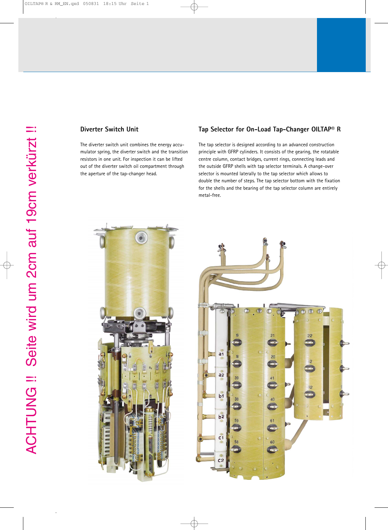# **Diverter Switch Unit**

The diverter switch unit combines the energy accumulator spring, the diverter switch and the transition resistors in one unit. For inspection it can be lifted out of the diverter switch oil compartment through the aperture of the tap-changer head.

# **Tap Selector for On-Load Tap-Changer OILTAP® R**

The tap selector is designed according to an advanced construction principle with GFRP cylinders. It consists of the gearing, the rotatable centre column, contact bridges, current rings, connecting leads and the outside GFRP shells with tap selector terminals. A change-over selector is mounted laterally to the tap selector which allows to double the number of steps. The tap selector bottom with the fixation for the shells and the bearing of the tap selector column are entirely metal-free.